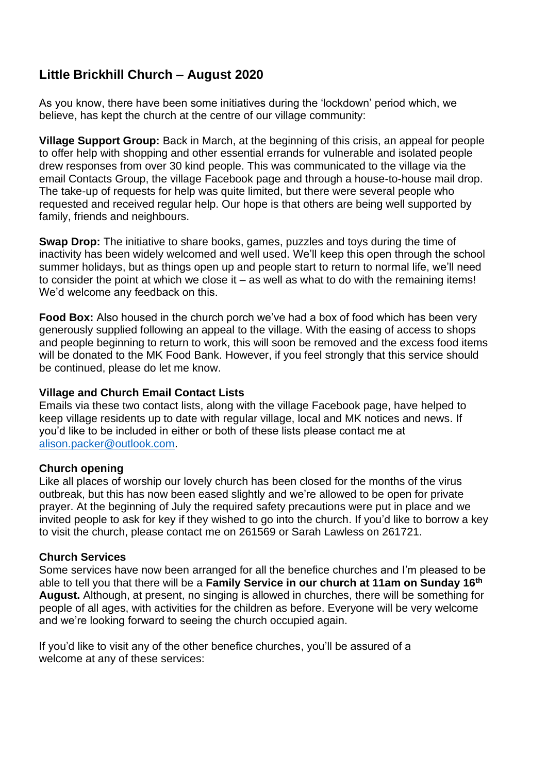# **Little Brickhill Church – August 2020**

As you know, there have been some initiatives during the 'lockdown' period which, we believe, has kept the church at the centre of our village community:

**Village Support Group:** Back in March, at the beginning of this crisis, an appeal for people to offer help with shopping and other essential errands for vulnerable and isolated people drew responses from over 30 kind people. This was communicated to the village via the email Contacts Group, the village Facebook page and through a house-to-house mail drop. The take-up of requests for help was quite limited, but there were several people who requested and received regular help. Our hope is that others are being well supported by family, friends and neighbours.

**Swap Drop:** The initiative to share books, games, puzzles and toys during the time of inactivity has been widely welcomed and well used. We'll keep this open through the school summer holidays, but as things open up and people start to return to normal life, we'll need to consider the point at which we close it – as well as what to do with the remaining items! We'd welcome any feedback on this.

**Food Box:** Also housed in the church porch we've had a box of food which has been very generously supplied following an appeal to the village. With the easing of access to shops and people beginning to return to work, this will soon be removed and the excess food items will be donated to the MK Food Bank. However, if you feel strongly that this service should be continued, please do let me know.

## **Village and Church Email Contact Lists**

Emails via these two contact lists, along with the village Facebook page, have helped to keep village residents up to date with regular village, local and MK notices and news. If you'd like to be included in either or both of these lists please contact me at [alison.packer@outlook.com.](mailto:alison.packer@outlook.com)

## **Church opening**

Like all places of worship our lovely church has been closed for the months of the virus outbreak, but this has now been eased slightly and we're allowed to be open for private prayer. At the beginning of July the required safety precautions were put in place and we invited people to ask for key if they wished to go into the church. If you'd like to borrow a key to visit the church, please contact me on 261569 or Sarah Lawless on 261721.

## **Church Services**

Some services have now been arranged for all the benefice churches and I'm pleased to be able to tell you that there will be a **Family Service in our church at 11am on Sunday 16th August.** Although, at present, no singing is allowed in churches, there will be something for people of all ages, with activities for the children as before. Everyone will be very welcome and we're looking forward to seeing the church occupied again.

If you'd like to visit any of the other benefice churches, you'll be assured of a welcome at any of these services: